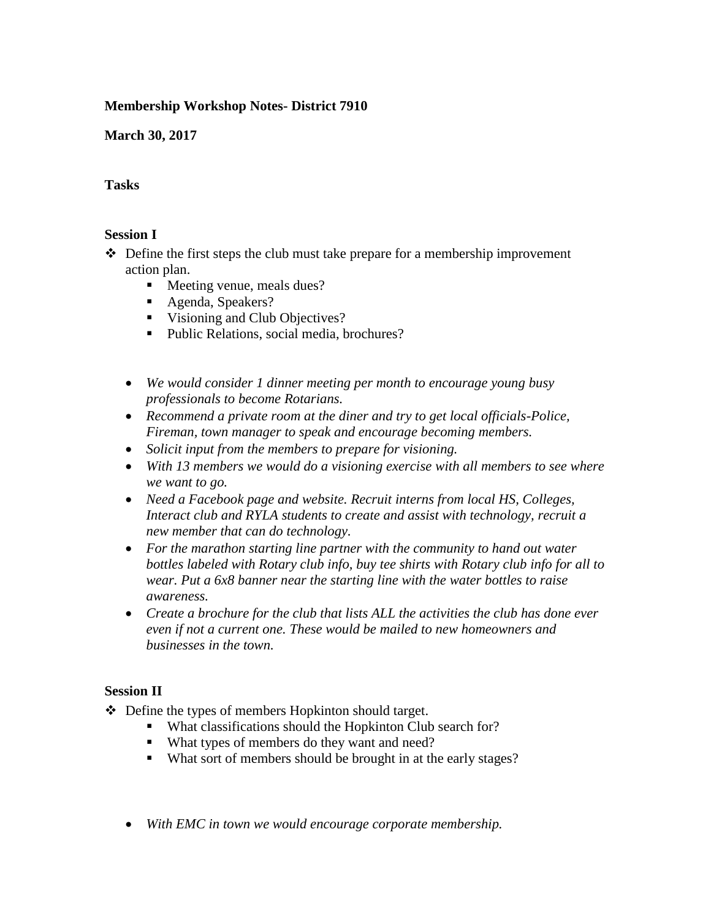# **Membership Workshop Notes- District 7910**

**March 30, 2017**

## **Tasks**

#### **Session I**

 $\triangle$  Define the first steps the club must take prepare for a membership improvement action plan.

- **Meeting venue, meals dues?**
- Agenda, Speakers?
- Visioning and Club Objectives?
- Public Relations, social media, brochures?
- *We would consider 1 dinner meeting per month to encourage young busy professionals to become Rotarians.*
- *Recommend a private room at the diner and try to get local officials-Police, Fireman, town manager to speak and encourage becoming members.*
- *Solicit input from the members to prepare for visioning.*
- *With 13 members we would do a visioning exercise with all members to see where we want to go.*
- *Need a Facebook page and website. Recruit interns from local HS, Colleges, Interact club and RYLA students to create and assist with technology, recruit a new member that can do technology.*
- *For the marathon starting line partner with the community to hand out water bottles labeled with Rotary club info, buy tee shirts with Rotary club info for all to wear. Put a 6x8 banner near the starting line with the water bottles to raise awareness.*
- *Create a brochure for the club that lists ALL the activities the club has done ever even if not a current one. These would be mailed to new homeowners and businesses in the town.*

## **Session II**

- ❖ Define the types of members Hopkinton should target.
	- What classifications should the Hopkinton Club search for?
	- What types of members do they want and need?
	- What sort of members should be brought in at the early stages?
	- *With EMC in town we would encourage corporate membership.*